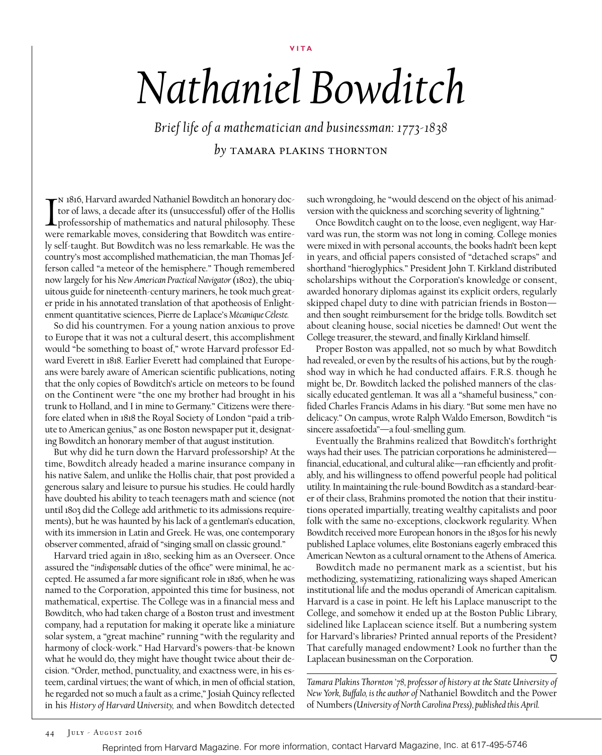**VITA**

## *Nathaniel Bowditch*

*Brief life of a mathematician and businessman: 1773-1838 by* tamara plakins thornton

 $\prod_{\text{well}}$ n 1816, Harvard awarded Nathaniel Bowditch an honorary doctor of laws, a decade after its (unsuccessful) offer of the Hollis professorship of mathematics and natural philosophy. These were remarkable moves, considering that Bowditch was entirely self-taught. But Bowditch was no less remarkable. He was the country's most accomplished mathematician, the man Thomas Jefferson called "a meteor of the hemisphere." Though remembered now largely for his *New American Practical Navigator* (1802), the ubiquitous guide for nineteenth-century mariners, he took much greater pride in his annotated translation of that apotheosis of Enlightenment quantitative sciences, Pierre de Laplace's *Mécanique Céleste.*

So did his countrymen. For a young nation anxious to prove to Europe that it was not a cultural desert, this accomplishment would "be something to boast of," wrote Harvard professor Edward Everett in 1818. Earlier Everett had complained that Europeans were barely aware of American scientific publications, noting that the only copies of Bowditch's article on meteors to be found on the Continent were "the one my brother had brought in his trunk to Holland, and I in mine to Germany." Citizens were therefore elated when in 1818 the Royal Society of London "paid a tribute to American genius," as one Boston newspaper put it, designating Bowditch an honorary member of that august institution.

But why did he turn down the Harvard professorship? At the time, Bowditch already headed a marine insurance company in his native Salem, and unlike the Hollis chair, that post provided a generous salary and leisure to pursue his studies. He could hardly have doubted his ability to teach teenagers math and science (not until 1803 did the College add arithmetic to its admissions requirements), but he was haunted by his lack of a gentleman's education, with its immersion in Latin and Greek. He was, one contemporary observer commented, afraid of "singing small on classic ground."

Harvard tried again in 1810, seeking him as an Overseer. Once assured the "*indispensable* duties of the office" were minimal, he accepted. He assumed a far more significant role in 1826, when he was named to the Corporation, appointed this time for business, not mathematical, expertise. The College was in a financial mess and Bowditch, who had taken charge of a Boston trust and investment company, had a reputation for making it operate like a miniature solar system, a "great machine" running "with the regularity and harmony of clock-work." Had Harvard's powers-that-be known what he would do, they might have thought twice about their decision. "Order, method, punctuality, and exactness were, in his esteem, cardinal virtues; the want of which, in men of official station, he regarded not so much a fault as a crime," Josiah Quincy reflected in his *History of Harvard University,* and when Bowditch detected

such wrongdoing, he "would descend on the object of his animadversion with the quickness and scorching severity of lightning."

Once Bowditch caught on to the loose, even negligent, way Harvard was run, the storm was not long in coming. College monies were mixed in with personal accounts, the books hadn't been kept in years, and official papers consisted of "detached scraps" and shorthand "hieroglyphics." President John T. Kirkland distributed scholarships without the Corporation's knowledge or consent, awarded honorary diplomas against its explicit orders, regularly skipped chapel duty to dine with patrician friends in Boston and then sought reimbursement for the bridge tolls. Bowditch set about cleaning house, social niceties be damned! Out went the College treasurer, the steward, and finally Kirkland himself.

Proper Boston was appalled, not so much by what Bowditch had revealed, or even by the results of his actions, but by the roughshod way in which he had conducted affairs. F.R.S. though he might be, Dr. Bowditch lacked the polished manners of the classically educated gentleman. It was all a "shameful business," confided Charles Francis Adams in his diary. "But some men have no delicacy." On campus, wrote Ralph Waldo Emerson, Bowditch "is sincere assafoetida"—a foul-smelling gum.

Eventually the Brahmins realized that Bowditch's forthright ways had their uses. The patrician corporations he administered financial, educational, and cultural alike—ran efficiently and profitably, and his willingness to offend powerful people had political utility. In maintaining the rule-bound Bowditch as a standard-bearer of their class, Brahmins promoted the notion that their institutions operated impartially, treating wealthy capitalists and poor folk with the same no-exceptions, clockwork regularity. When Bowditch received more European honors in the 1830s for his newly published Laplace volumes, elite Bostonians eagerly embraced this American Newton as a cultural ornament to the Athens of America.

Bowditch made no permanent mark as a scientist, but his methodizing, systematizing, rationalizing ways shaped American institutional life and the modus operandi of American capitalism. Harvard is a case in point. He left his Laplace manuscript to the College, and somehow it ended up at the Boston Public Library, sidelined like Laplacean science itself. But a numbering system for Harvard's libraries? Printed annual reports of the President? That carefully managed endowment? Look no further than the Laplacean businessman on the Corporation. ⊓

*Tamara Plakins Thornton '78, professor of history at the State University of New York, Buffalo, is the author of* Nathaniel Bowditch and the Power of Numbers *(University of North Carolina Press), published this April.*